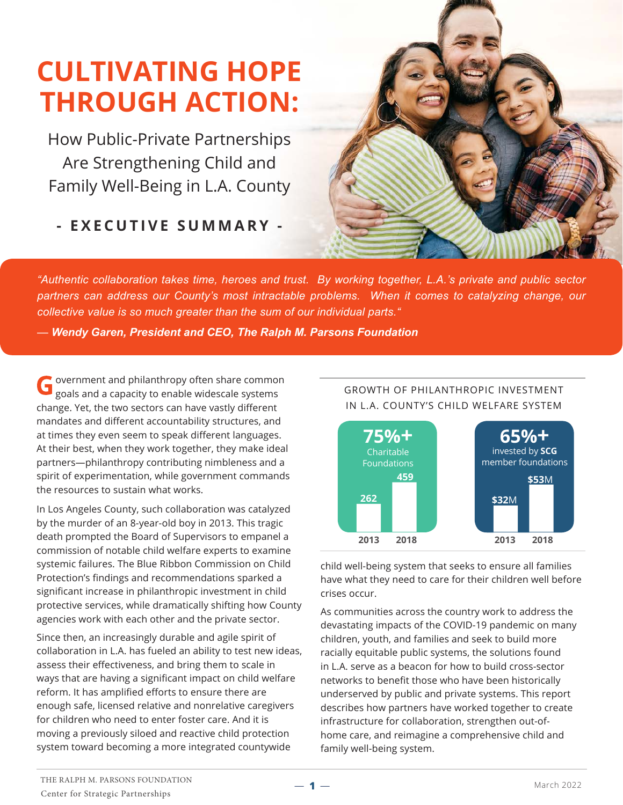# **CULTIVATING HOPE THROUGH ACTION:**

How Public-Private Partnerships Are Strengthening Child and Family Well-Being in L.A. County

**- EXECUTIVE SUMMARY -**



*"Authentic collaboration takes time, heroes and trust. By working together, L.A.'s private and public sector partners can address our County's most intractable problems. When it comes to catalyzing change, our collective value is so much greater than the sum of our individual parts."*

— *Wendy Garen, President and CEO, The Ralph M. Parsons Foundation*

overnment and philanthropy often share common goals and a capacity to enable widescale systems change. Yet, the two sectors can have vastly different mandates and different accountability structures, and at times they even seem to speak different languages. At their best, when they work together, they make ideal partners—philanthropy contributing nimbleness and a spirit of experimentation, while government commands the resources to sustain what works.

In Los Angeles County, such collaboration was catalyzed by the murder of an 8-year-old boy in 2013. This tragic death prompted the Board of Supervisors to empanel a commission of notable child welfare experts to examine systemic failures. The Blue Ribbon Commission on Child Protection's findings and recommendations sparked a significant increase in philanthropic investment in child protective services, while dramatically shifting how County agencies work with each other and the private sector.

Since then, an increasingly durable and agile spirit of collaboration in L.A. has fueled an ability to test new ideas, assess their effectiveness, and bring them to scale in ways that are having a significant impact on child welfare reform. It has amplified efforts to ensure there are enough safe, licensed relative and nonrelative caregivers for children who need to enter foster care. And it is moving a previously siloed and reactive child protection system toward becoming a more integrated countywide



child well-being system that seeks to ensure all families have what they need to care for their children well before crises occur.

As communities across the country work to address the devastating impacts of the COVID-19 pandemic on many children, youth, and families and seek to build more racially equitable public systems, the solutions found in L.A. serve as a beacon for how to build cross-sector networks to benefit those who have been historically underserved by public and private systems. This report describes how partners have worked together to create infrastructure for collaboration, strengthen out-ofhome care, and reimagine a comprehensive child and family well-being system.

**1**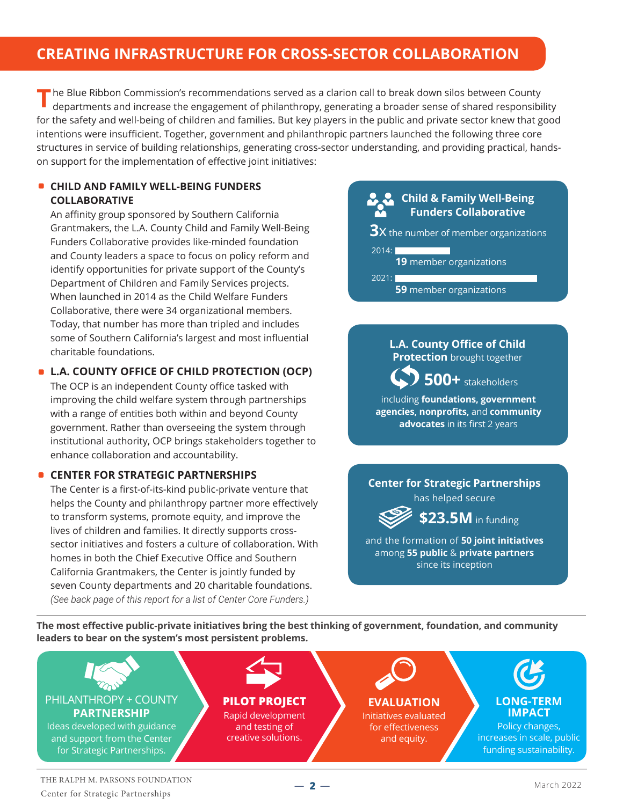# **CREATING INFRASTRUCTURE FOR CROSS-SECTOR COLLABORATION**

The Blue Ribbon Commission's recommendations served as a clarion call to break down silos between County departments and increase the engagement of philanthropy, generating a broader sense of shared responsibi departments and increase the engagement of philanthropy, generating a broader sense of shared responsibility for the safety and well-being of children and families. But key players in the public and private sector knew that good intentions were insufficient. Together, government and philanthropic partners launched the following three core structures in service of building relationships, generating cross-sector understanding, and providing practical, handson support for the implementation of effective joint initiatives:

#### **CHILD AND FAMILY WELL-BEING FUNDERS COLLABORATIVE**

An affinity group sponsored by Southern California Grantmakers, the L.A. County Child and Family Well-Being Funders Collaborative provides like-minded foundation and County leaders a space to focus on policy reform and identify opportunities for private support of the County's Department of Children and Family Services projects. When launched in 2014 as the Child Welfare Funders Collaborative, there were 34 organizational members. Today, that number has more than tripled and includes some of Southern California's largest and most influential charitable foundations.

#### **L.A. COUNTY OFFICE OF CHILD PROTECTION (OCP)**

The OCP is an independent County office tasked with improving the child welfare system through partnerships with a range of entities both within and beyond County government. Rather than overseeing the system through institutional authority, OCP brings stakeholders together to enhance collaboration and accountability.

#### **CENTER FOR STRATEGIC PARTNERSHIPS**

The Center is a first-of-its-kind public-private venture that helps the County and philanthropy partner more effectively to transform systems, promote equity, and improve the lives of children and families. It directly supports crosssector initiatives and fosters a culture of collaboration. With homes in both the Chief Executive Office and Southern California Grantmakers, the Center is jointly funded by seven County departments and 20 charitable foundations. *(See back page of this report for a list of Center Core Funders.)*

### **Child & Family Well-Being Funders Collaborative**

**3X** the number of member organizations

 $2014:$  **19** member organizations 2021: **59** member organizations

> **L.A. County Office of Child Protection** brought together

 **500+** stakeholders including **foundations, government agencies, nonprofits,** and **community advocates** in its first 2 years

### **Center for Strategic Partnerships**

has helped secure

**\$23.5M** in funding

and the formation of **50 joint initiatives** among **55 public** & **private partners**  since its inception

**The most effective public-private initiatives bring the best thinking of government, foundation, and community leaders to bear on the system's most persistent problems.**



 $-2-$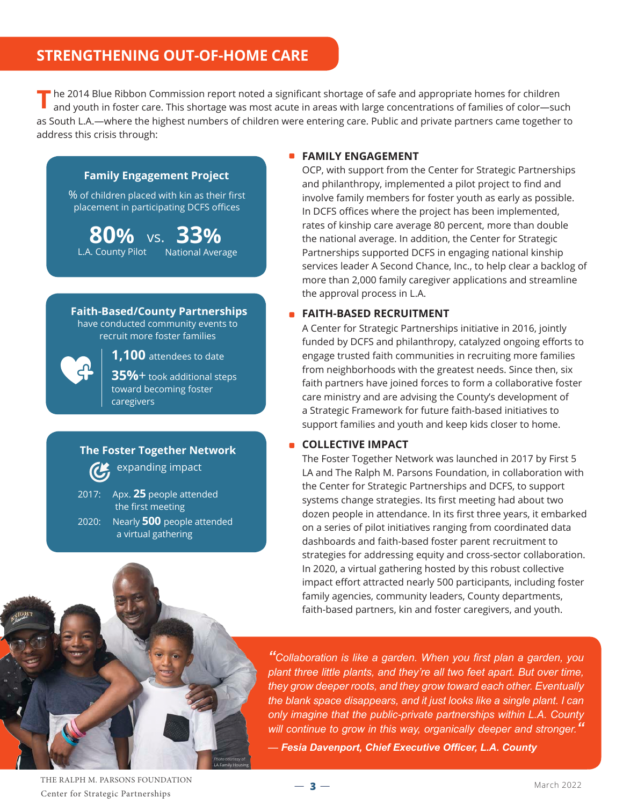# **STRENGTHENING OUT-OF-HOME CARE**

he 2014 Blue Ribbon Commission report noted a significant shortage of safe and appropriate homes for children and youth in foster care. This shortage was most acute in areas with large concentrations of families of color—such as South L.A.—where the highest numbers of children were entering care. Public and private partners came together to address this crisis through: **T**

#### **Family Engagement Project**

% of children placed with kin as their first placement in participating DCFS offices

**80% 33%** vs. L.A. County Pilot National Average

 **Faith-Based/County Partnerships** have conducted community events to recruit more foster families



**1,100** attendees to date

**35%**+ took additional steps toward becoming foster caregivers

### **The Foster Together Network**  expanding impact

2017: Apx. **25** people attended the first meeting 2020: Nearly **500** people attended a virtual gathering

#### **FAMILY ENGAGEMENT**

OCP, with support from the Center for Strategic Partnerships and philanthropy, implemented a pilot project to find and involve family members for foster youth as early as possible. In DCFS offices where the project has been implemented, rates of kinship care average 80 percent, more than double the national average. In addition, the Center for Strategic Partnerships supported DCFS in engaging national kinship services leader A Second Chance, Inc., to help clear a backlog of more than 2,000 family caregiver applications and streamline the approval process in L.A.

#### **FAITH-BASED RECRUITMENT**

A Center for Strategic Partnerships initiative in 2016, jointly funded by DCFS and philanthropy, catalyzed ongoing efforts to engage trusted faith communities in recruiting more families from neighborhoods with the greatest needs. Since then, six faith partners have joined forces to form a collaborative foster care ministry and are advising the County's development of a Strategic Framework for future faith-based initiatives to support families and youth and keep kids closer to home.

#### **COLLECTIVE IMPACT**

The Foster Together Network was launched in 2017 by First 5 LA and The Ralph M. Parsons Foundation, in collaboration with the Center for Strategic Partnerships and DCFS, to support systems change strategies. Its first meeting had about two dozen people in attendance. In its first three years, it embarked on a series of pilot initiatives ranging from coordinated data dashboards and faith-based foster parent recruitment to strategies for addressing equity and cross-sector collaboration. In 2020, a virtual gathering hosted by this robust collective impact effort attracted nearly 500 participants, including foster family agencies, community leaders, County departments, faith-based partners, kin and foster caregivers, and youth.



*"Collaboration is like a garden. When you first plan a garden, you plant three little plants, and they're all two feet apart. But over time, they grow deeper roots, and they grow toward each other. Eventually the blank space disappears, and it just looks like a single plant. I can only imagine that the public-private partnerships within L.A. County will continue to grow in this way, organically deeper and stronger."*

— *Fesia Davenport, Chief Executive Officer, L.A. County*

THE RALPH M. PARSONS FOUNDATION Center for Strategic Partnerships

 $-3-$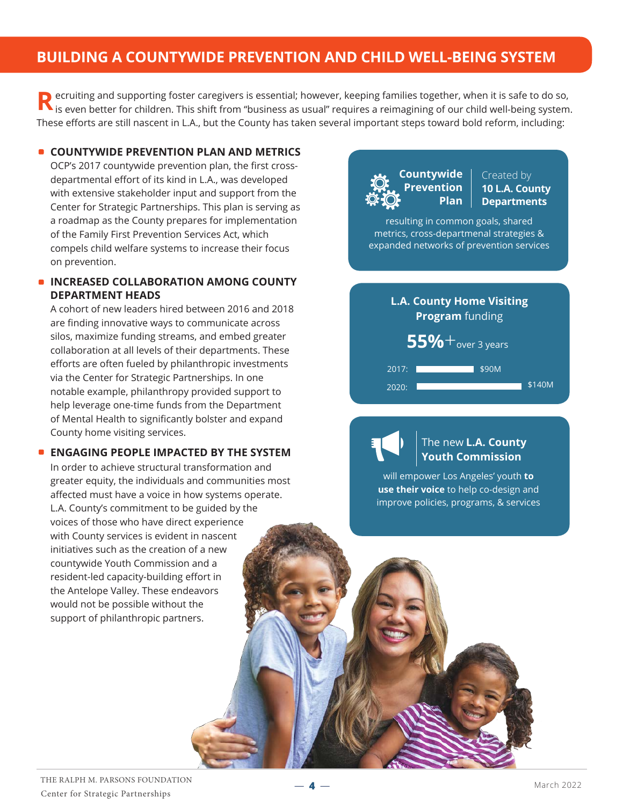# **BUILDING A COUNTYWIDE PREVENTION AND CHILD WELL-BEING SYSTEM**

ecruiting and supporting foster caregivers is essential; however, keeping families together, when it is safe to do so, **R** ecruiting and supporting foster caregivers is essential; however, keeping families together, when it is safe to do so,<br>It is even better for children. This shift from "business as usual" requires a reimagining of our c These efforts are still nascent in L.A., but the County has taken several important steps toward bold reform, including:

#### **COUNTYWIDE PREVENTION PLAN AND METRICS**

OCP's 2017 countywide prevention plan, the first crossdepartmental effort of its kind in L.A., was developed with extensive stakeholder input and support from the Center for Strategic Partnerships. This plan is serving as a roadmap as the County prepares for implementation of the Family First Prevention Services Act, which compels child welfare systems to increase their focus on prevention.

#### **INCREASED COLLABORATION AMONG COUNTY DEPARTMENT HEADS**

A cohort of new leaders hired between 2016 and 2018 are finding innovative ways to communicate across silos, maximize funding streams, and embed greater collaboration at all levels of their departments. These efforts are often fueled by philanthropic investments via the Center for Strategic Partnerships. In one notable example, philanthropy provided support to help leverage one-time funds from the Department of Mental Health to significantly bolster and expand County home visiting services.

#### **ENGAGING PEOPLE IMPACTED BY THE SYSTEM**

In order to achieve structural transformation and greater equity, the individuals and communities most affected must have a voice in how systems operate. L.A. County's commitment to be guided by the voices of those who have direct experience with County services is evident in nascent initiatives such as the creation of a new countywide Youth Commission and a resident-led capacity-building effort in the Antelope Valley. These endeavors would not be possible without the support of philanthropic partners.



I

Created by **10 L.A. County Departments** 

resulting in common goals, shared metrics, cross-departmenal strategies & expanded networks of prevention services

# **L.A. County Home Visiting Program** funding

**55%** + over 3 years

2017: **Mark 2017:** \$90M 2020: \$140M

### The new **L.A. County Youth Commission**

will empower Los Angeles' youth **to use their voice** to help co-design and improve policies, programs, & services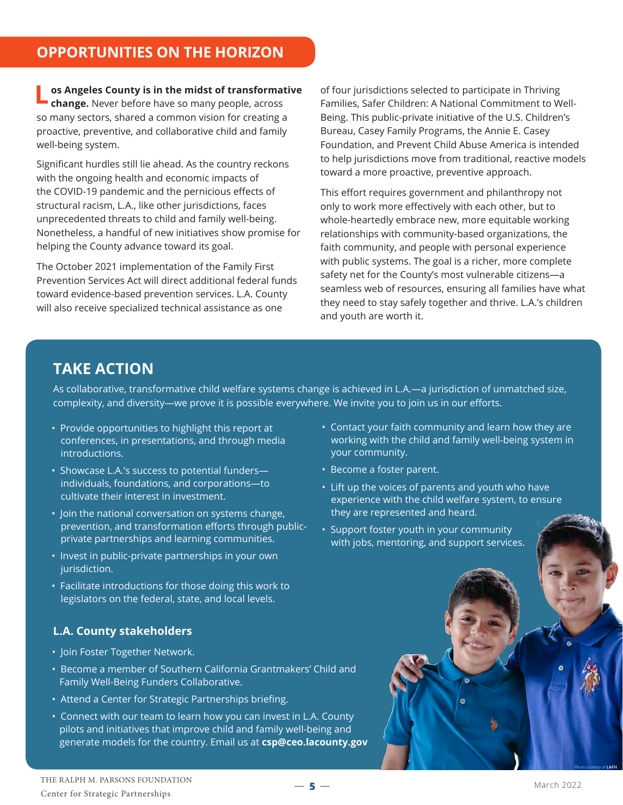**Let angeles County is in the midst of transformative of four jurisdictions selected to participate in Thriving change. Never before have so many people, across Families, Safer Children: A National Commitment to W change.** Never before have so many people, across so many sectors, shared a common vision for creating a proactive, preventive, and collaborative child and family well-being system.

Significant hurdles still lie ahead. As the country reckons with the ongoing health and economic impacts of the COVID-19 pandemic and the pernicious effects of structural racism, L.A., like other jurisdictions, faces unprecedented threats to child and family well-being. Nonetheless, a handful of new initiatives show promise for helping the County advance toward its goal.

The October 2021 implementation of the Family First Prevention Services Act will direct additional federal funds toward evidence-based prevention services. L.A. County will also receive specialized technical assistance as one

Families, Safer Children: A National Commitment to Well-Being. This public-private initiative of the U.S. Children's Bureau, Casey Family Programs, the Annie E. Casey Foundation, and Prevent Child Abuse America is intended to help jurisdictions move from traditional, reactive models toward a more proactive, preventive approach.

This effort requires government and philanthropy not only to work more effectively with each other, but to whole-heartedly embrace new, more equitable working relationships with community-based organizations, the faith community, and people with personal experience with public systems. The goal is a richer, more complete safety net for the County's most vulnerable citizens—a seamless web of resources, ensuring all families have what they need to stay safely together and thrive. L.A.'s children and youth are worth it.

# **TAKE ACTION**

As collaborative, transformative child welfare systems change is achieved in L.A.—a jurisdiction of unmatched size, complexity, and diversity—we prove it is possible everywhere. We invite you to join us in our efforts.

- Provide opportunities to highlight this report at conferences, in presentations, and through media introductions.
- Showcase L.A.'s success to potential funders individuals, foundations, and corporations—to cultivate their interest in investment.
- Join the national conversation on systems change, prevention, and transformation efforts through publicprivate partnerships and learning communities.
- Invest in public-private partnerships in your own jurisdiction.
- Facilitate introductions for those doing this work to legislators on the federal, state, and local levels.

### **L.A. County stakeholders**

- Join Foster Together Network.
- Become a member of Southern California Grantmakers' Child and Family Well-Being Funders Collaborative.
- Attend a Center for Strategic Partnerships briefing.
- Connect with our team to learn how you can invest in L.A. County pilots and initiatives that improve child and family well-being and generate models for the country. Email us at **csp@ceo.lacounty.gov**
- Contact your faith community and learn how they are working with the child and family well-being system in your community.
- Become a foster parent.
- Lift up the voices of parents and youth who have experience with the child welfare system, to ensure they are represented and heard.
- Support foster youth in your community with jobs, mentoring, and support services.



*Photo courtesy of* **LAFH**